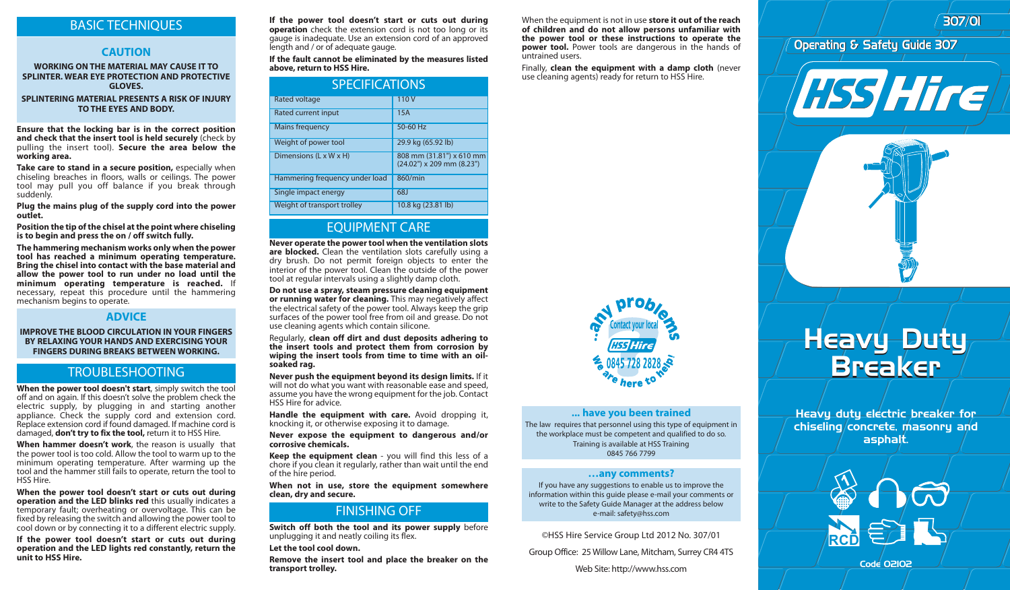## BASIC TECHNIQUES

### **CAUTION**

#### **WORKING ON THE MATERIAL MAY CAUSE IT TO SPLINTER. WEAR EYE PROTECTION AND PROTECTIVE GLOVES.**

**SPLINTERING MATERIAL PRESENTS A RISK OF INJURY TO THE EYES AND BODY.** 

**Ensure that the locking bar is in the correct position and check that the insert tool is held securely** (check by pulling the insert tool). **Secure the area below the working area.**

**Take care to stand in a secure position,** especially when chiseling breaches in floors, walls or ceilings. The power tool may pull you off balance if you break through suddenly.

**Plug the mains plug of the supply cord into the power outlet.**

**Position the tip of the chisel at the point where chiseling is to begin and press the on / off switch fully.** 

**The hammering mechanism works only when the power tool has reached a minimum operating temperature. Bring the chisel into contact with the base material and allow the power tool to run under no load until the minimum operating temperature is reached.** If necessary, repeat this procedure until the hammering mechanism begins to operate.

### **ADVICE**

**IMPROVE THE BLOOD CIRCULATION IN YOUR FINGERS BY RELAXING YOUR HANDS AND EXERCISING YOUR FINGERS DURING BREAKS BETWEEN WORKING.**

### TROUBLESHOOTING

**When the power tool doesn't start**, simply switch the tool off and on again. If this doesn't solve the problem check the electric supply, by plugging in and starting another appliance. Check the supply cord and extension cord. Replace extension cord if found damaged. If machine cord is damaged, **don't try to fix the tool,** return it to HSS Hire.

**When hammer doesn't work**, the reason is usually that the power tool is too cold. Allow the tool to warm up to the minimum operating temperature. After warming up the tool and the hammer still fails to operate, return the tool to HSS Hire.

**When the power tool doesn't start or cuts out during operation and the LED blinks red** this usually indicates a temporary fault; overheating or overvoltage. This can be fixed by releasing the switch and allowing the power tool to cool down or by connecting it to a different electric supply.

**If the power tool doesn't start or cuts out during operation and the LED lights red constantly, return the unit to HSS Hire.** 

**If the power tool doesn't start or cuts out during operation** check the extension cord is not too long or its gauge is inadequate. Use an extension cord of an approved length and / or of adequate gauge.

**If the fault cannot be eliminated by the measures listed above, return to HSS Hire.**

| <b>SPECIFICATIONS</b>              |                                                       |
|------------------------------------|-------------------------------------------------------|
| <b>Rated voltage</b>               | 110V                                                  |
| Rated current input                | 15A                                                   |
| Mains frequency                    | 50-60 Hz                                              |
| Weight of power tool               | 29.9 kg (65.92 lb)                                    |
| Dimensions $(L \times W \times H)$ | 808 mm (31.81") x 610 mm<br>(24.02") x 209 mm (8.23") |
| Hammering frequency under load     | 860/min                                               |
| Single impact energy               | 68J                                                   |
| Weight of transport trolley        | 10.8 kg (23.81 lb)                                    |

# EQUIPMENT CARE

**Never operate the power tool when the ventilation slots are blocked.** Clean the ventilation slots carefully using a dry brush. Do not permit foreign objects to enter the interior of the power tool. Clean the outside of the power tool at regular intervals using a slightly damp cloth.

**Do not use a spray, steam pressure cleaning equipment or running water for cleaning.** This may negatively affect the electrical safety of the power tool. Always keep the grip surfaces of the power tool free from oil and grease. Do not use cleaning agents which contain silicone.

Regularly, **clean off dirt and dust deposits adhering to the insert tools and protect them from corrosion by wiping the insert tools from time to time with an oilsoaked rag.**

**Never push the equipment beyond its design limits.** If it will not do what you want with reasonable ease and speed, assume you have the wrong equipment for the job. Contact HSS Hire for advice.

**Handle the equipment with care.** Avoid dropping it, knocking it, or otherwise exposing it to damage.

**Never expose the equipment to dangerous and/or corrosive chemicals.**

**Keep the equipment clean** - you will find this less of a chore if you clean it regularly, rather than wait until the end of the hire period.

**When not in use, store the equipment somewhere clean, dry and secure.**

### FINISHING OFF

**Switch off both the tool and its power supply** before unplugging it and neatly coiling its flex.

**Let the tool cool down.**

**Remove the insert tool and place the breaker on the transport trolley.**

When the equipment is not in use **store it out of the reach of children and do not allow persons unfamiliar with the power tool or these instructions to operate the power tool.** Power tools are dangerous in the hands of untrained users.

Finally, **clean the equipment with a damp cloth** (never use cleaning agents) ready for return to HSS Hire.



307/01 307/01





#### **... have you been trained**

The law requires that personnel using this type of equipment in the workplace must be competent and qualified to do so. Training is available at HSS Training 0845 766 7799

#### **…any comments?**

If you have any suggestions to enable us to improve the information within this guide please e-mail your comments or write to the Safety Guide Manager at the address below e-mail: safety@hss.com

©HSS Hire Service Group Ltd 2012 No. 307/01

Group Office: 25 Willow Lane, Mitcham, Surrey CR4 4TS

# Heavy Duty Breaker Heavy Duty Breaker

Heavy duty electric breaker for chiseling concrete, masonry and asphalt.



Code 02102